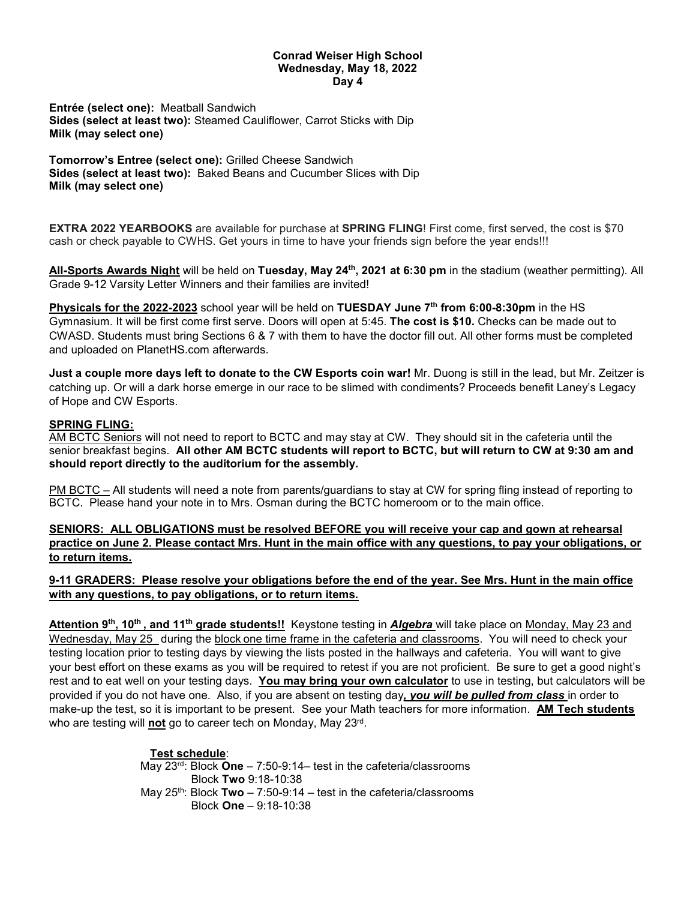## **Conrad Weiser High School Wednesday, May 18, 2022 Day 4**

**Entrée (select one):** Meatball Sandwich **Sides (select at least two):** Steamed Cauliflower, Carrot Sticks with Dip **Milk (may select one)**

**Tomorrow's Entree (select one):** Grilled Cheese Sandwich **Sides (select at least two):** Baked Beans and Cucumber Slices with Dip **Milk (may select one)**

**EXTRA 2022 YEARBOOKS** are available for purchase at **SPRING FLING**! First come, first served, the cost is \$70 cash or check payable to CWHS. Get yours in time to have your friends sign before the year ends!!!

**All-Sports Awards Night** will be held on **Tuesday, May 24th, 2021 at 6:30 pm** in the stadium (weather permitting). All Grade 9-12 Varsity Letter Winners and their families are invited!

**Physicals for the 2022-2023** school year will be held on **TUESDAY June 7th from 6:00-8:30pm** in the HS Gymnasium. It will be first come first serve. Doors will open at 5:45. **The cost is \$10.** Checks can be made out to CWASD. Students must bring Sections 6 & 7 with them to have the doctor fill out. All other forms must be completed and uploaded on PlanetHS.com afterwards.

**Just a couple more days left to donate to the CW Esports coin war!** Mr. Duong is still in the lead, but Mr. Zeitzer is catching up. Or will a dark horse emerge in our race to be slimed with condiments? Proceeds benefit Laney's Legacy of Hope and CW Esports.

## **SPRING FLING:**

AM BCTC Seniors will not need to report to BCTC and may stay at CW. They should sit in the cafeteria until the senior breakfast begins. **All other AM BCTC students will report to BCTC, but will return to CW at 9:30 am and should report directly to the auditorium for the assembly.**

PM BCTC – All students will need a note from parents/guardians to stay at CW for spring fling instead of reporting to BCTC. Please hand your note in to Mrs. Osman during the BCTC homeroom or to the main office.

**SENIORS: ALL OBLIGATIONS must be resolved BEFORE you will receive your cap and gown at rehearsal practice on June 2. Please contact Mrs. Hunt in the main office with any questions, to pay your obligations, or to return items.** 

**9-11 GRADERS: Please resolve your obligations before the end of the year. See Mrs. Hunt in the main office with any questions, to pay obligations, or to return items.**

Attention 9<sup>th</sup>, 10<sup>th</sup>, and 11<sup>th</sup> grade students!! Keystone testing in *Algebra* will take place on Monday, May 23 and Wednesday, May 25 during the block one time frame in the cafeteria and classrooms. You will need to check your testing location prior to testing days by viewing the lists posted in the hallways and cafeteria. You will want to give your best effort on these exams as you will be required to retest if you are not proficient. Be sure to get a good night's rest and to eat well on your testing days. **You may bring your own calculator** to use in testing, but calculators will be provided if you do not have one. Also, if you are absent on testing day*, you will be pulled from class* in order to make-up the test, so it is important to be present. See your Math teachers for more information. **AM Tech students** who are testing will **not** go to career tech on Monday, May 23rd.

> **Test schedule**: May 23rd: Block **One** – 7:50-9:14– test in the cafeteria/classrooms Block **Two** 9:18-10:38 May 25th: Block **Two** – 7:50-9:14 – test in the cafeteria/classrooms Block **One** – 9:18-10:38